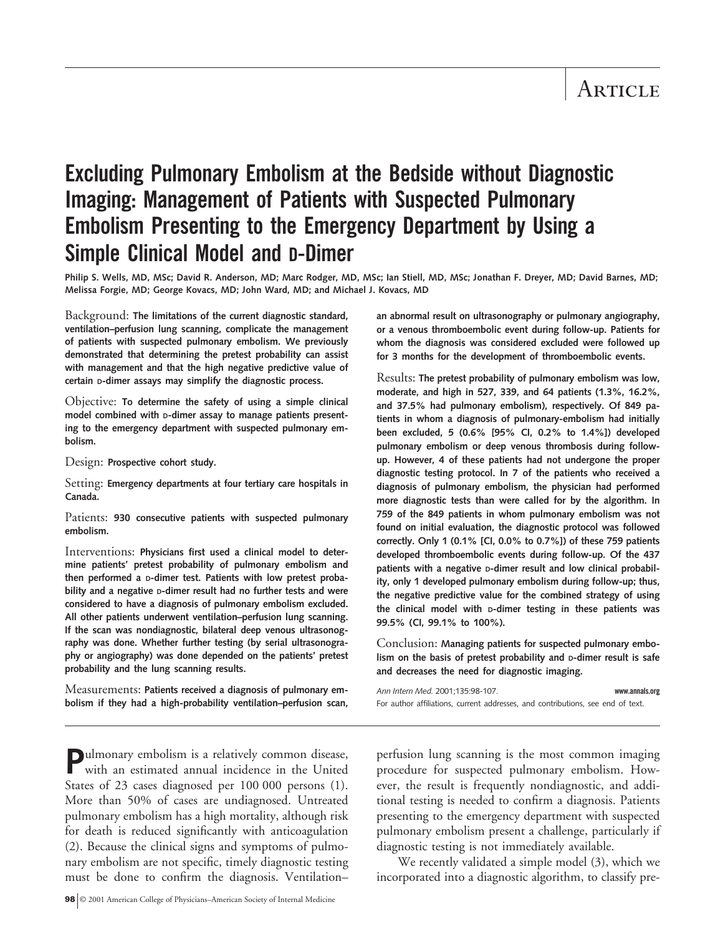# **Excluding Pulmonary Embolism at the Bedside without Diagnostic Imaging: Management of Patients with Suspected Pulmonary Embolism Presenting to the Emergency Department by Using a Simple Clinical Model and D-Dimer**

**Philip S. Wells, MD, MSc; David R. Anderson, MD; Marc Rodger, MD, MSc; Ian Stiell, MD, MSc; Jonathan F. Dreyer, MD; David Barnes, MD; Melissa Forgie, MD; George Kovacs, MD; John Ward, MD; and Michael J. Kovacs, MD**

Background: **The limitations of the current diagnostic standard, ventilation–perfusion lung scanning, complicate the management of patients with suspected pulmonary embolism. We previously demonstrated that determining the pretest probability can assist with management and that the high negative predictive value of certain D-dimer assays may simplify the diagnostic process.**

Objective: **To determine the safety of using a simple clinical model combined with D-dimer assay to manage patients presenting to the emergency department with suspected pulmonary embolism.**

Design: **Prospective cohort study.**

Setting: **Emergency departments at four tertiary care hospitals in Canada.**

Patients: **930 consecutive patients with suspected pulmonary embolism.**

Interventions: **Physicians first used a clinical model to determine patients' pretest probability of pulmonary embolism and then performed a D-dimer test. Patients with low pretest probability and a negative D-dimer result had no further tests and were considered to have a diagnosis of pulmonary embolism excluded. All other patients underwent ventilation–perfusion lung scanning. If the scan was nondiagnostic, bilateral deep venous ultrasonography was done. Whether further testing (by serial ultrasonography or angiography) was done depended on the patients' pretest probability and the lung scanning results.**

Measurements: **Patients received a diagnosis of pulmonary embolism if they had a high-probability ventilation–perfusion scan,** **an abnormal result on ultrasonography or pulmonary angiography, or a venous thromboembolic event during follow-up. Patients for whom the diagnosis was considered excluded were followed up for 3 months for the development of thromboembolic events.**

Results: **The pretest probability of pulmonary embolism was low, moderate, and high in 527, 339, and 64 patients (1.3%, 16.2%, and 37.5% had pulmonary embolism), respectively. Of 849 patients in whom a diagnosis of pulmonary-embolism had initially been excluded, 5 (0.6% [95% CI, 0.2% to 1.4%]) developed pulmonary embolism or deep venous thrombosis during followup. However, 4 of these patients had not undergone the proper diagnostic testing protocol. In 7 of the patients who received a diagnosis of pulmonary embolism, the physician had performed more diagnostic tests than were called for by the algorithm. In 759 of the 849 patients in whom pulmonary embolism was not found on initial evaluation, the diagnostic protocol was followed correctly. Only 1 (0.1% [CI, 0.0% to 0.7%]) of these 759 patients developed thromboembolic events during follow-up. Of the 437 patients with a negative D-dimer result and low clinical probability, only 1 developed pulmonary embolism during follow-up; thus, the negative predictive value for the combined strategy of using the clinical model with D-dimer testing in these patients was 99.5% (CI, 99.1% to 100%).**

Conclusion: **Managing patients for suspected pulmonary embolism on the basis of pretest probability and D-dimer result is safe and decreases the need for diagnostic imaging.**

| Ann Intern Med. 2001:135:98-107. |                                                                                 | www.annals.org |
|----------------------------------|---------------------------------------------------------------------------------|----------------|
|                                  | For author affiliations, current addresses, and contributions, see end of text. |                |

**Pulmonary embolism is a relatively common disease,** with an estimated annual incidence in the United States of 23 cases diagnosed per 100 000 persons (1). More than 50% of cases are undiagnosed. Untreated pulmonary embolism has a high mortality, although risk for death is reduced significantly with anticoagulation (2). Because the clinical signs and symptoms of pulmonary embolism are not specific, timely diagnostic testing must be done to confirm the diagnosis. Ventilation– perfusion lung scanning is the most common imaging procedure for suspected pulmonary embolism. However, the result is frequently nondiagnostic, and additional testing is needed to confirm a diagnosis. Patients presenting to the emergency department with suspected pulmonary embolism present a challenge, particularly if diagnostic testing is not immediately available.

We recently validated a simple model (3), which we incorporated into a diagnostic algorithm, to classify pre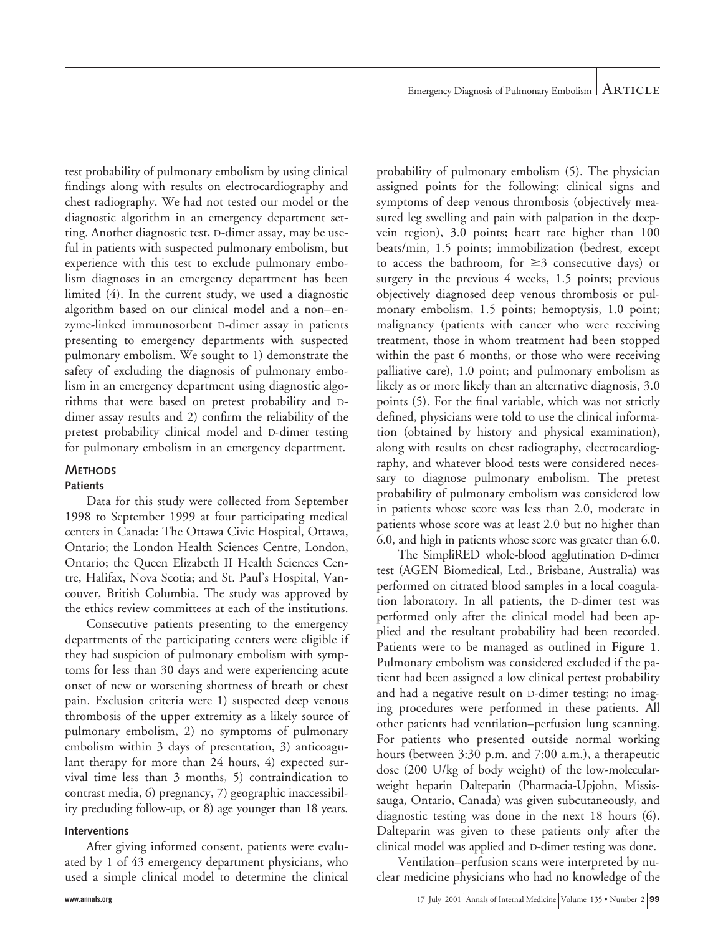test probability of pulmonary embolism by using clinical findings along with results on electrocardiography and chest radiography. We had not tested our model or the diagnostic algorithm in an emergency department setting. Another diagnostic test, D-dimer assay, may be useful in patients with suspected pulmonary embolism, but experience with this test to exclude pulmonary embolism diagnoses in an emergency department has been limited (4). In the current study, we used a diagnostic algorithm based on our clinical model and a non–enzyme-linked immunosorbent D-dimer assay in patients presenting to emergency departments with suspected pulmonary embolism. We sought to 1) demonstrate the safety of excluding the diagnosis of pulmonary embolism in an emergency department using diagnostic algorithms that were based on pretest probability and Ddimer assay results and 2) confirm the reliability of the pretest probability clinical model and D-dimer testing for pulmonary embolism in an emergency department.

# **METHODS**

# **Patients**

Data for this study were collected from September 1998 to September 1999 at four participating medical centers in Canada: The Ottawa Civic Hospital, Ottawa, Ontario; the London Health Sciences Centre, London, Ontario; the Queen Elizabeth II Health Sciences Centre, Halifax, Nova Scotia; and St. Paul's Hospital, Vancouver, British Columbia. The study was approved by the ethics review committees at each of the institutions.

Consecutive patients presenting to the emergency departments of the participating centers were eligible if they had suspicion of pulmonary embolism with symptoms for less than 30 days and were experiencing acute onset of new or worsening shortness of breath or chest pain. Exclusion criteria were 1) suspected deep venous thrombosis of the upper extremity as a likely source of pulmonary embolism, 2) no symptoms of pulmonary embolism within 3 days of presentation, 3) anticoagulant therapy for more than 24 hours, 4) expected survival time less than 3 months, 5) contraindication to contrast media, 6) pregnancy, 7) geographic inaccessibility precluding follow-up, or 8) age younger than 18 years.

# **Interventions**

After giving informed consent, patients were evaluated by 1 of 43 emergency department physicians, who used a simple clinical model to determine the clinical

**www.annals.org** 17 July 2001 Annals of Internal Medicine Volume 135 • Number 2 99

probability of pulmonary embolism (5). The physician assigned points for the following: clinical signs and symptoms of deep venous thrombosis (objectively measured leg swelling and pain with palpation in the deepvein region), 3.0 points; heart rate higher than 100 beats/min, 1.5 points; immobilization (bedrest, except to access the bathroom, for  $\geq$ 3 consecutive days) or surgery in the previous 4 weeks, 1.5 points; previous objectively diagnosed deep venous thrombosis or pulmonary embolism, 1.5 points; hemoptysis, 1.0 point; malignancy (patients with cancer who were receiving treatment, those in whom treatment had been stopped within the past 6 months, or those who were receiving palliative care), 1.0 point; and pulmonary embolism as likely as or more likely than an alternative diagnosis, 3.0 points (5). For the final variable, which was not strictly defined, physicians were told to use the clinical information (obtained by history and physical examination), along with results on chest radiography, electrocardiography, and whatever blood tests were considered necessary to diagnose pulmonary embolism. The pretest probability of pulmonary embolism was considered low in patients whose score was less than 2.0, moderate in patients whose score was at least 2.0 but no higher than 6.0, and high in patients whose score was greater than 6.0.

The SimpliRED whole-blood agglutination D-dimer test (AGEN Biomedical, Ltd., Brisbane, Australia) was performed on citrated blood samples in a local coagulation laboratory. In all patients, the D-dimer test was performed only after the clinical model had been applied and the resultant probability had been recorded. Patients were to be managed as outlined in **Figure 1**. Pulmonary embolism was considered excluded if the patient had been assigned a low clinical pertest probability and had a negative result on D-dimer testing; no imaging procedures were performed in these patients. All other patients had ventilation–perfusion lung scanning. For patients who presented outside normal working hours (between 3:30 p.m. and 7:00 a.m.), a therapeutic dose (200 U/kg of body weight) of the low-molecularweight heparin Dalteparin (Pharmacia-Upjohn, Mississauga, Ontario, Canada) was given subcutaneously, and diagnostic testing was done in the next 18 hours (6). Dalteparin was given to these patients only after the clinical model was applied and D-dimer testing was done.

Ventilation–perfusion scans were interpreted by nuclear medicine physicians who had no knowledge of the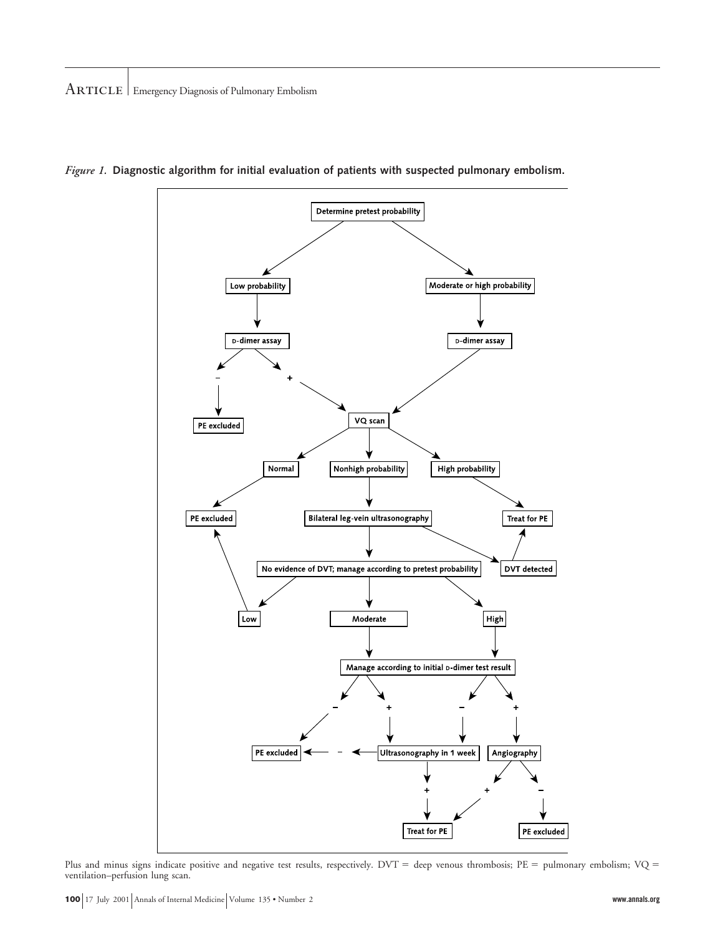

*Figure 1.* **Diagnostic algorithm for initial evaluation of patients with suspected pulmonary embolism.**

Plus and minus signs indicate positive and negative test results, respectively. DVT = deep venous thrombosis; PE = pulmonary embolism; VQ = ventilation–perfusion lung scan.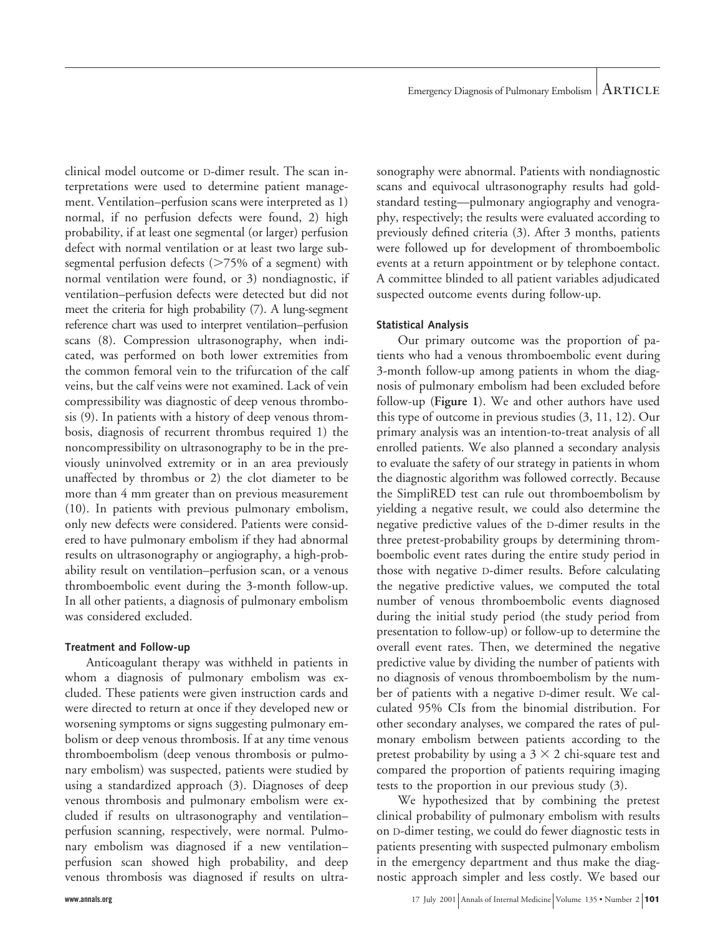clinical model outcome or D-dimer result. The scan interpretations were used to determine patient management. Ventilation–perfusion scans were interpreted as 1) normal, if no perfusion defects were found, 2) high probability, if at least one segmental (or larger) perfusion defect with normal ventilation or at least two large subsegmental perfusion defects  $($ >75% of a segment) with normal ventilation were found, or 3) nondiagnostic, if ventilation–perfusion defects were detected but did not meet the criteria for high probability (7). A lung-segment reference chart was used to interpret ventilation–perfusion scans (8). Compression ultrasonography, when indicated, was performed on both lower extremities from the common femoral vein to the trifurcation of the calf veins, but the calf veins were not examined. Lack of vein compressibility was diagnostic of deep venous thrombosis (9). In patients with a history of deep venous thrombosis, diagnosis of recurrent thrombus required 1) the noncompressibility on ultrasonography to be in the previously uninvolved extremity or in an area previously unaffected by thrombus or 2) the clot diameter to be more than 4 mm greater than on previous measurement (10). In patients with previous pulmonary embolism, only new defects were considered. Patients were considered to have pulmonary embolism if they had abnormal results on ultrasonography or angiography, a high-probability result on ventilation–perfusion scan, or a venous thromboembolic event during the 3-month follow-up. In all other patients, a diagnosis of pulmonary embolism was considered excluded.

## **Treatment and Follow-up**

Anticoagulant therapy was withheld in patients in whom a diagnosis of pulmonary embolism was excluded. These patients were given instruction cards and were directed to return at once if they developed new or worsening symptoms or signs suggesting pulmonary embolism or deep venous thrombosis. If at any time venous thromboembolism (deep venous thrombosis or pulmonary embolism) was suspected, patients were studied by using a standardized approach (3). Diagnoses of deep venous thrombosis and pulmonary embolism were excluded if results on ultrasonography and ventilation– perfusion scanning, respectively, were normal. Pulmonary embolism was diagnosed if a new ventilation– perfusion scan showed high probability, and deep venous thrombosis was diagnosed if results on ultra-

sonography were abnormal. Patients with nondiagnostic scans and equivocal ultrasonography results had goldstandard testing—pulmonary angiography and venography, respectively; the results were evaluated according to previously defined criteria (3). After 3 months, patients were followed up for development of thromboembolic events at a return appointment or by telephone contact. A committee blinded to all patient variables adjudicated suspected outcome events during follow-up.

### **Statistical Analysis**

Our primary outcome was the proportion of patients who had a venous thromboembolic event during 3-month follow-up among patients in whom the diagnosis of pulmonary embolism had been excluded before follow-up (**Figure 1**). We and other authors have used this type of outcome in previous studies (3, 11, 12). Our primary analysis was an intention-to-treat analysis of all enrolled patients. We also planned a secondary analysis to evaluate the safety of our strategy in patients in whom the diagnostic algorithm was followed correctly. Because the SimpliRED test can rule out thromboembolism by yielding a negative result, we could also determine the negative predictive values of the D-dimer results in the three pretest-probability groups by determining thromboembolic event rates during the entire study period in those with negative D-dimer results. Before calculating the negative predictive values, we computed the total number of venous thromboembolic events diagnosed during the initial study period (the study period from presentation to follow-up) or follow-up to determine the overall event rates. Then, we determined the negative predictive value by dividing the number of patients with no diagnosis of venous thromboembolism by the number of patients with a negative D-dimer result. We calculated 95% CIs from the binomial distribution. For other secondary analyses, we compared the rates of pulmonary embolism between patients according to the pretest probability by using a  $3 \times 2$  chi-square test and compared the proportion of patients requiring imaging tests to the proportion in our previous study (3).

We hypothesized that by combining the pretest clinical probability of pulmonary embolism with results on D-dimer testing, we could do fewer diagnostic tests in patients presenting with suspected pulmonary embolism in the emergency department and thus make the diagnostic approach simpler and less costly. We based our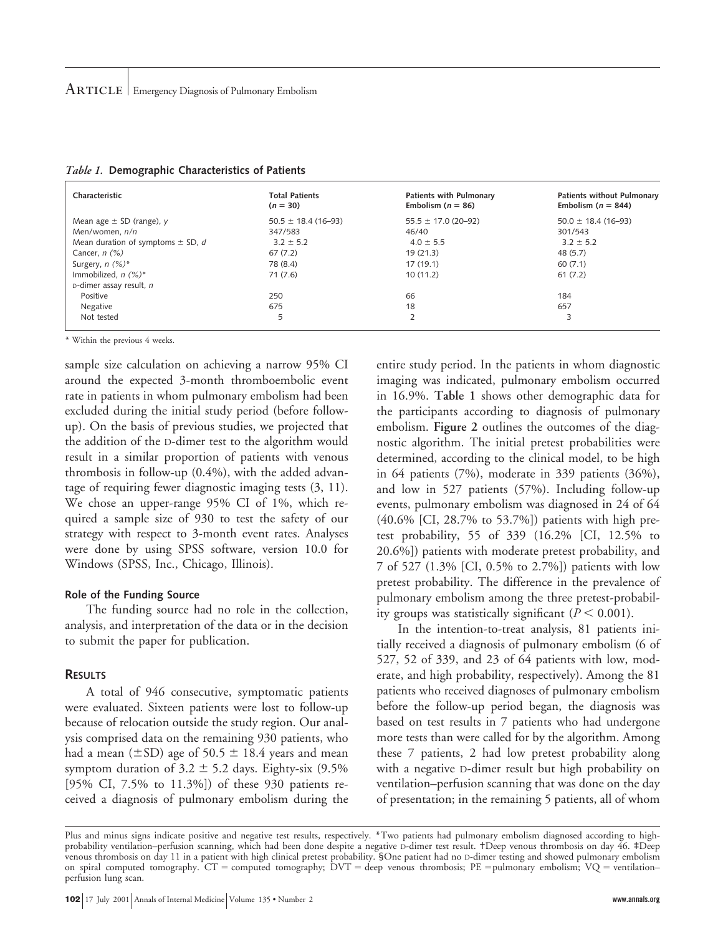| Characteristic                        | <b>Total Patients</b><br>$(n = 30)$ | Patients with Pulmonary<br>Embolism $(n = 86)$ | <b>Patients without Pulmonary</b><br>Embolism ( $n = 844$ ) |
|---------------------------------------|-------------------------------------|------------------------------------------------|-------------------------------------------------------------|
| Mean age $\pm$ SD (range), y          | $50.5 \pm 18.4$ (16-93)             | $55.5 \pm 17.0$ (20-92)                        | $50.0 \pm 18.4$ (16-93)                                     |
| Men/women, n/n                        | 347/583                             | 46/40                                          | 301/543                                                     |
| Mean duration of symptoms $\pm$ SD, d | $3.2 \pm 5.2$                       | $4.0 \pm 5.5$                                  | $3.2 \pm 5.2$                                               |
| Cancer, $n$ $(\%)$                    | 67(7.2)                             | 19(21.3)                                       | 48 (5.7)                                                    |
| Surgery, $n$ (%)*                     | 78 (8.4)                            | 17(19.1)                                       | 60(7.1)                                                     |
| Immobilized, $n$ (%)*                 | 71(7.6)                             | 10(11.2)                                       | 61(7.2)                                                     |
| $D$ -dimer assay result, n            |                                     |                                                |                                                             |
| Positive                              | 250                                 | 66                                             | 184                                                         |
| Negative                              | 675                                 | 18                                             | 657                                                         |
| Not tested                            | 5                                   | 2                                              | 3                                                           |

|  |  | Table 1. Demographic Characteristics of Patients |  |  |
|--|--|--------------------------------------------------|--|--|
|--|--|--------------------------------------------------|--|--|

\* Within the previous 4 weeks.

sample size calculation on achieving a narrow 95% CI around the expected 3-month thromboembolic event rate in patients in whom pulmonary embolism had been excluded during the initial study period (before followup). On the basis of previous studies, we projected that the addition of the D-dimer test to the algorithm would result in a similar proportion of patients with venous thrombosis in follow-up (0.4%), with the added advantage of requiring fewer diagnostic imaging tests (3, 11). We chose an upper-range 95% CI of 1%, which required a sample size of 930 to test the safety of our strategy with respect to 3-month event rates. Analyses were done by using SPSS software, version 10.0 for Windows (SPSS, Inc., Chicago, Illinois).

#### **Role of the Funding Source**

The funding source had no role in the collection, analysis, and interpretation of the data or in the decision to submit the paper for publication.

#### **RESULTS**

A total of 946 consecutive, symptomatic patients were evaluated. Sixteen patients were lost to follow-up because of relocation outside the study region. Our analysis comprised data on the remaining 930 patients, who had a mean ( $\pm$ SD) age of 50.5  $\pm$  18.4 years and mean symptom duration of  $3.2 \pm 5.2$  days. Eighty-six (9.5%) [95% CI, 7.5% to 11.3%]) of these 930 patients received a diagnosis of pulmonary embolism during the entire study period. In the patients in whom diagnostic imaging was indicated, pulmonary embolism occurred in 16.9%. **Table 1** shows other demographic data for the participants according to diagnosis of pulmonary embolism. **Figure 2** outlines the outcomes of the diagnostic algorithm. The initial pretest probabilities were determined, according to the clinical model, to be high in 64 patients (7%), moderate in 339 patients (36%), and low in 527 patients (57%). Including follow-up events, pulmonary embolism was diagnosed in 24 of 64 (40.6% [CI, 28.7% to 53.7%]) patients with high pretest probability, 55 of 339 (16.2% [CI, 12.5% to 20.6%]) patients with moderate pretest probability, and 7 of 527 (1.3% [CI, 0.5% to 2.7%]) patients with low pretest probability. The difference in the prevalence of pulmonary embolism among the three pretest-probability groups was statistically significant  $(P < 0.001)$ .

In the intention-to-treat analysis, 81 patients initially received a diagnosis of pulmonary embolism (6 of 527, 52 of 339, and 23 of 64 patients with low, moderate, and high probability, respectively). Among the 81 patients who received diagnoses of pulmonary embolism before the follow-up period began, the diagnosis was based on test results in 7 patients who had undergone more tests than were called for by the algorithm. Among these 7 patients, 2 had low pretest probability along with a negative D-dimer result but high probability on ventilation–perfusion scanning that was done on the day of presentation; in the remaining 5 patients, all of whom

Plus and minus signs indicate positive and negative test results, respectively. \*Two patients had pulmonary embolism diagnosed according to highprobability ventilation–perfusion scanning, which had been done despite a negative D-dimer test result. †Deep venous thrombosis on day 46. ‡Deep venous thrombosis on day 11 in a patient with high clinical pretest probability. §One patient had no D-dimer testing and showed pulmonary embolism on spiral computed tomography.  $CT =$  computed tomography;  $DVT =$  deep venous thrombosis;  $PE =$  pulmonary embolism;  $VQ =$  ventilation– perfusion lung scan.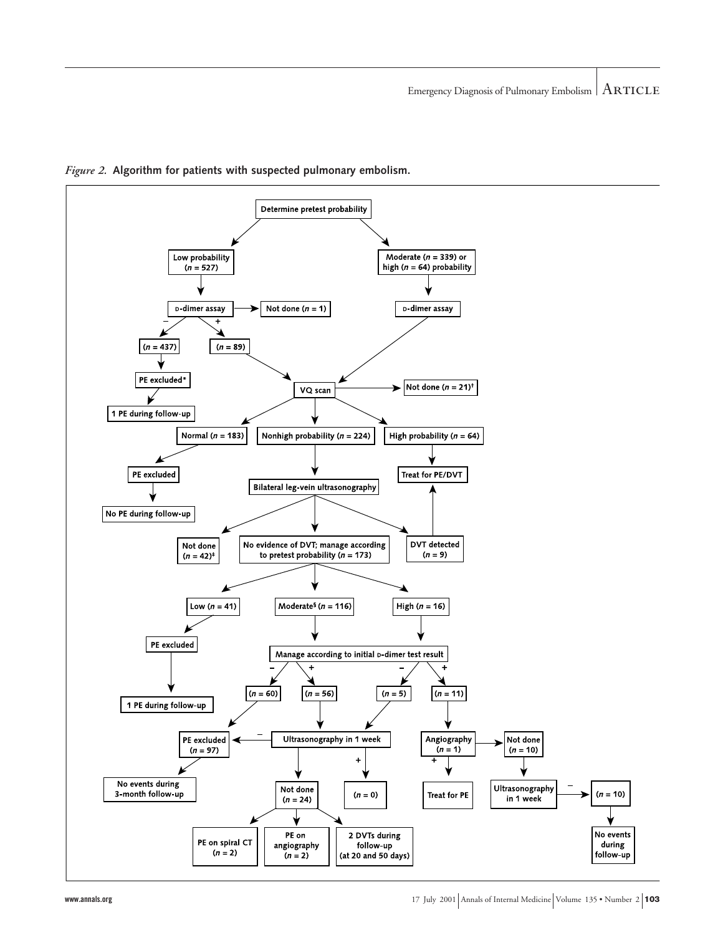

*Figure 2.* **Algorithm for patients with suspected pulmonary embolism.**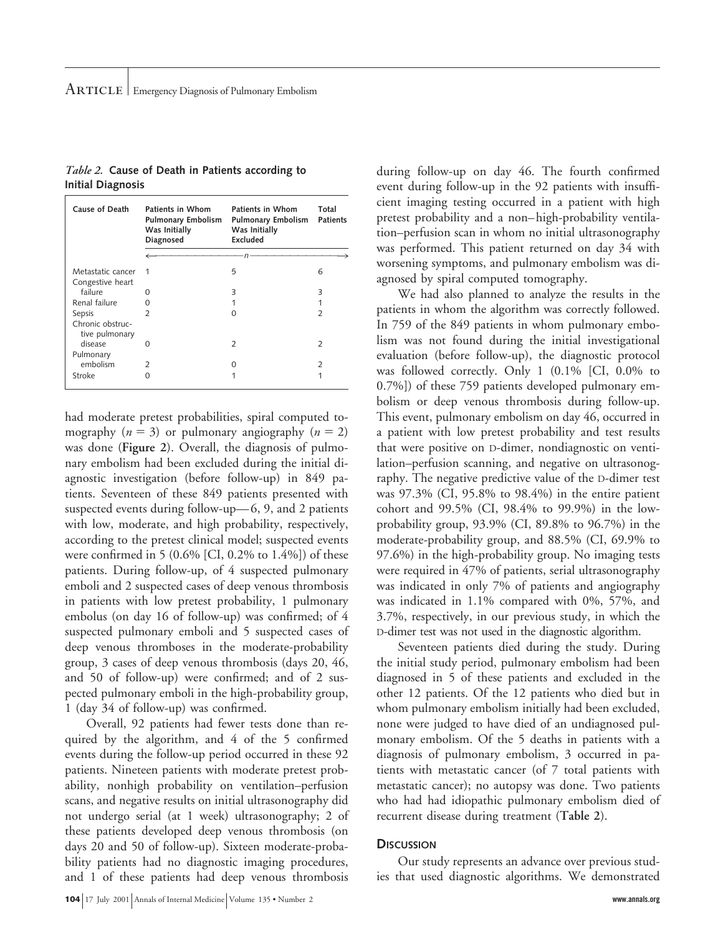| Cause of Death                        | Patients in Whom<br><b>Pulmonary Embolism</b><br>Was Initially<br>Diagnosed | Patients in Whom<br>Pulmonary Embolism<br>Was Initially<br>Excluded | Total<br><b>Patients</b> |
|---------------------------------------|-----------------------------------------------------------------------------|---------------------------------------------------------------------|--------------------------|
|                                       |                                                                             | п                                                                   |                          |
| Metastatic cancer<br>Congestive heart | 1                                                                           | 5                                                                   | 6                        |
| failure                               | O                                                                           | ς                                                                   | ς                        |
| Renal failure                         | ∩                                                                           |                                                                     |                          |
| Sepsis                                | $\mathcal{P}$                                                               | Ω                                                                   | $\mathcal{D}$            |
| Chronic obstruc-<br>tive pulmonary    |                                                                             |                                                                     |                          |
| disease                               | O                                                                           | フ                                                                   | $\mathcal{P}$            |
| Pulmonary                             |                                                                             |                                                                     |                          |
| embolism                              | $\mathcal{P}$                                                               | ∩                                                                   | $\mathcal{D}$            |
| Stroke                                | 0                                                                           |                                                                     |                          |
|                                       |                                                                             |                                                                     |                          |

*Table 2.* **Cause of Death in Patients according to Initial Diagnosis**

had moderate pretest probabilities, spiral computed tomography  $(n = 3)$  or pulmonary angiography  $(n = 2)$ was done (**Figure 2**). Overall, the diagnosis of pulmonary embolism had been excluded during the initial diagnostic investigation (before follow-up) in 849 patients. Seventeen of these 849 patients presented with suspected events during follow-up—6, 9, and 2 patients with low, moderate, and high probability, respectively, according to the pretest clinical model; suspected events were confirmed in 5 (0.6% [CI, 0.2% to 1.4%]) of these patients. During follow-up, of 4 suspected pulmonary emboli and 2 suspected cases of deep venous thrombosis in patients with low pretest probability, 1 pulmonary embolus (on day 16 of follow-up) was confirmed; of 4 suspected pulmonary emboli and 5 suspected cases of deep venous thromboses in the moderate-probability group, 3 cases of deep venous thrombosis (days 20, 46, and 50 of follow-up) were confirmed; and of 2 suspected pulmonary emboli in the high-probability group, 1 (day 34 of follow-up) was confirmed.

Overall, 92 patients had fewer tests done than required by the algorithm, and 4 of the 5 confirmed events during the follow-up period occurred in these 92 patients. Nineteen patients with moderate pretest probability, nonhigh probability on ventilation–perfusion scans, and negative results on initial ultrasonography did not undergo serial (at 1 week) ultrasonography; 2 of these patients developed deep venous thrombosis (on days 20 and 50 of follow-up). Sixteen moderate-probability patients had no diagnostic imaging procedures, and 1 of these patients had deep venous thrombosis during follow-up on day 46. The fourth confirmed event during follow-up in the 92 patients with insufficient imaging testing occurred in a patient with high pretest probability and a non–high-probability ventilation–perfusion scan in whom no initial ultrasonography was performed. This patient returned on day 34 with worsening symptoms, and pulmonary embolism was diagnosed by spiral computed tomography.

We had also planned to analyze the results in the patients in whom the algorithm was correctly followed. In 759 of the 849 patients in whom pulmonary embolism was not found during the initial investigational evaluation (before follow-up), the diagnostic protocol was followed correctly. Only 1 (0.1% [CI, 0.0% to 0.7%]) of these 759 patients developed pulmonary embolism or deep venous thrombosis during follow-up. This event, pulmonary embolism on day 46, occurred in a patient with low pretest probability and test results that were positive on D-dimer, nondiagnostic on ventilation–perfusion scanning, and negative on ultrasonography. The negative predictive value of the D-dimer test was 97.3% (CI, 95.8% to 98.4%) in the entire patient cohort and 99.5% (CI, 98.4% to 99.9%) in the lowprobability group, 93.9% (CI, 89.8% to 96.7%) in the moderate-probability group, and 88.5% (CI, 69.9% to 97.6%) in the high-probability group. No imaging tests were required in 47% of patients, serial ultrasonography was indicated in only 7% of patients and angiography was indicated in 1.1% compared with 0%, 57%, and 3.7%, respectively, in our previous study, in which the D-dimer test was not used in the diagnostic algorithm.

Seventeen patients died during the study. During the initial study period, pulmonary embolism had been diagnosed in 5 of these patients and excluded in the other 12 patients. Of the 12 patients who died but in whom pulmonary embolism initially had been excluded, none were judged to have died of an undiagnosed pulmonary embolism. Of the 5 deaths in patients with a diagnosis of pulmonary embolism, 3 occurred in patients with metastatic cancer (of 7 total patients with metastatic cancer); no autopsy was done. Two patients who had had idiopathic pulmonary embolism died of recurrent disease during treatment (**Table 2**).

#### **DISCUSSION**

Our study represents an advance over previous studies that used diagnostic algorithms. We demonstrated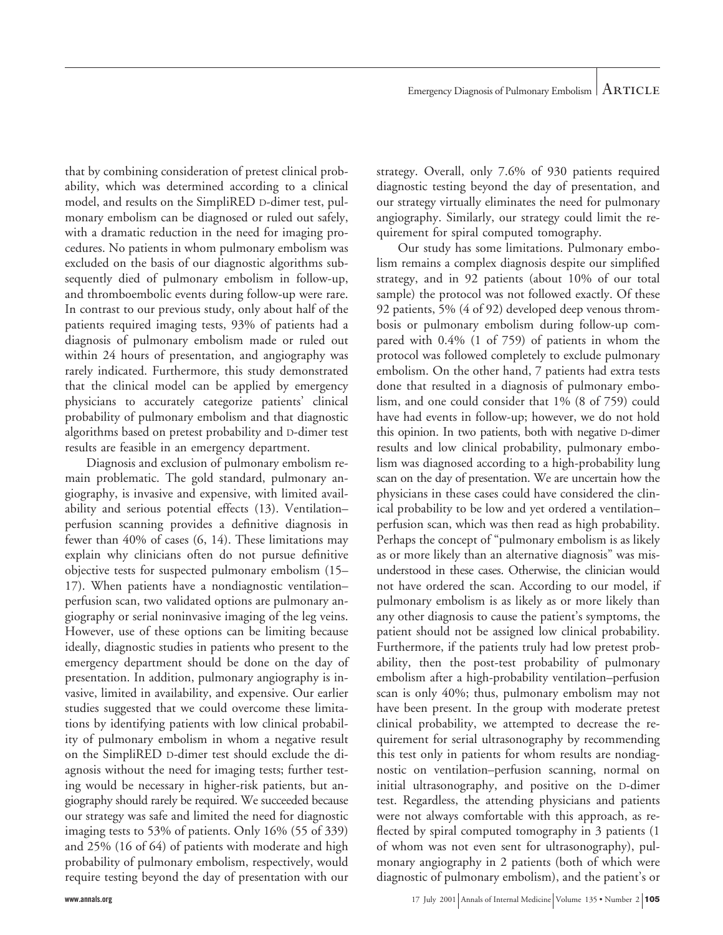that by combining consideration of pretest clinical probability, which was determined according to a clinical model, and results on the SimpliRED D-dimer test, pulmonary embolism can be diagnosed or ruled out safely, with a dramatic reduction in the need for imaging procedures. No patients in whom pulmonary embolism was excluded on the basis of our diagnostic algorithms subsequently died of pulmonary embolism in follow-up, and thromboembolic events during follow-up were rare. In contrast to our previous study, only about half of the patients required imaging tests, 93% of patients had a diagnosis of pulmonary embolism made or ruled out within 24 hours of presentation, and angiography was rarely indicated. Furthermore, this study demonstrated that the clinical model can be applied by emergency physicians to accurately categorize patients' clinical probability of pulmonary embolism and that diagnostic algorithms based on pretest probability and D-dimer test results are feasible in an emergency department.

Diagnosis and exclusion of pulmonary embolism remain problematic. The gold standard, pulmonary angiography, is invasive and expensive, with limited availability and serious potential effects (13). Ventilation– perfusion scanning provides a definitive diagnosis in fewer than 40% of cases (6, 14). These limitations may explain why clinicians often do not pursue definitive objective tests for suspected pulmonary embolism (15– 17). When patients have a nondiagnostic ventilation– perfusion scan, two validated options are pulmonary angiography or serial noninvasive imaging of the leg veins. However, use of these options can be limiting because ideally, diagnostic studies in patients who present to the emergency department should be done on the day of presentation. In addition, pulmonary angiography is invasive, limited in availability, and expensive. Our earlier studies suggested that we could overcome these limitations by identifying patients with low clinical probability of pulmonary embolism in whom a negative result on the SimpliRED D-dimer test should exclude the diagnosis without the need for imaging tests; further testing would be necessary in higher-risk patients, but angiography should rarely be required. We succeeded because our strategy was safe and limited the need for diagnostic imaging tests to 53% of patients. Only 16% (55 of 339) and 25% (16 of 64) of patients with moderate and high probability of pulmonary embolism, respectively, would require testing beyond the day of presentation with our

strategy. Overall, only 7.6% of 930 patients required diagnostic testing beyond the day of presentation, and our strategy virtually eliminates the need for pulmonary angiography. Similarly, our strategy could limit the requirement for spiral computed tomography.

Our study has some limitations. Pulmonary embolism remains a complex diagnosis despite our simplified strategy, and in 92 patients (about 10% of our total sample) the protocol was not followed exactly. Of these 92 patients, 5% (4 of 92) developed deep venous thrombosis or pulmonary embolism during follow-up compared with 0.4% (1 of 759) of patients in whom the protocol was followed completely to exclude pulmonary embolism. On the other hand, 7 patients had extra tests done that resulted in a diagnosis of pulmonary embolism, and one could consider that 1% (8 of 759) could have had events in follow-up; however, we do not hold this opinion. In two patients, both with negative D-dimer results and low clinical probability, pulmonary embolism was diagnosed according to a high-probability lung scan on the day of presentation. We are uncertain how the physicians in these cases could have considered the clinical probability to be low and yet ordered a ventilation– perfusion scan, which was then read as high probability. Perhaps the concept of "pulmonary embolism is as likely as or more likely than an alternative diagnosis" was misunderstood in these cases. Otherwise, the clinician would not have ordered the scan. According to our model, if pulmonary embolism is as likely as or more likely than any other diagnosis to cause the patient's symptoms, the patient should not be assigned low clinical probability. Furthermore, if the patients truly had low pretest probability, then the post-test probability of pulmonary embolism after a high-probability ventilation–perfusion scan is only 40%; thus, pulmonary embolism may not have been present. In the group with moderate pretest clinical probability, we attempted to decrease the requirement for serial ultrasonography by recommending this test only in patients for whom results are nondiagnostic on ventilation–perfusion scanning, normal on initial ultrasonography, and positive on the D-dimer test. Regardless, the attending physicians and patients were not always comfortable with this approach, as reflected by spiral computed tomography in 3 patients (1 of whom was not even sent for ultrasonography), pulmonary angiography in 2 patients (both of which were diagnostic of pulmonary embolism), and the patient's or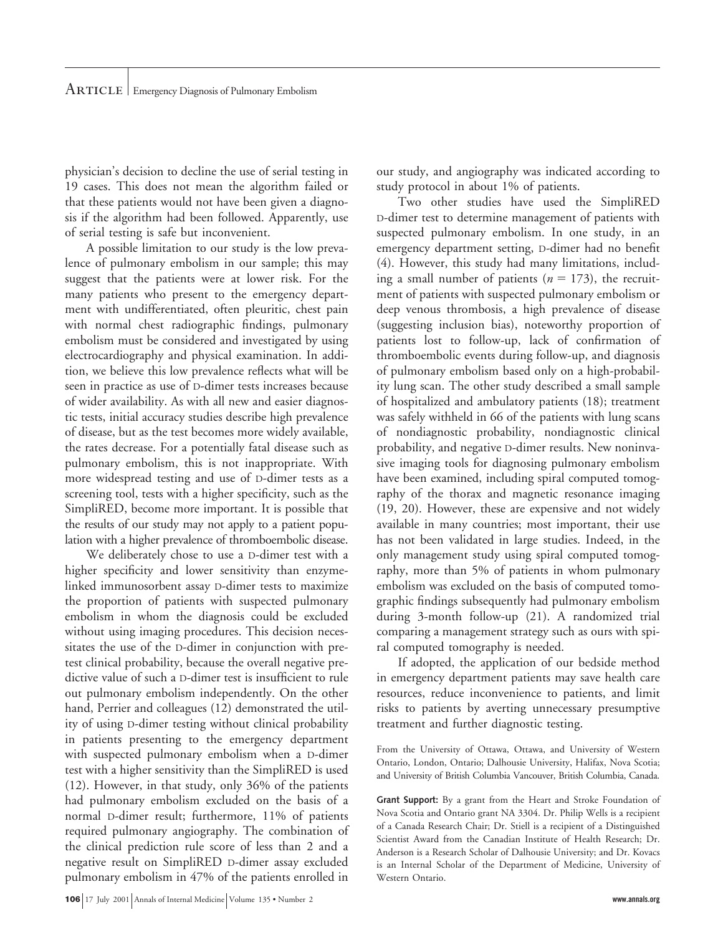physician's decision to decline the use of serial testing in 19 cases. This does not mean the algorithm failed or that these patients would not have been given a diagnosis if the algorithm had been followed. Apparently, use of serial testing is safe but inconvenient.

A possible limitation to our study is the low prevalence of pulmonary embolism in our sample; this may suggest that the patients were at lower risk. For the many patients who present to the emergency department with undifferentiated, often pleuritic, chest pain with normal chest radiographic findings, pulmonary embolism must be considered and investigated by using electrocardiography and physical examination. In addition, we believe this low prevalence reflects what will be seen in practice as use of D-dimer tests increases because of wider availability. As with all new and easier diagnostic tests, initial accuracy studies describe high prevalence of disease, but as the test becomes more widely available, the rates decrease. For a potentially fatal disease such as pulmonary embolism, this is not inappropriate. With more widespread testing and use of D-dimer tests as a screening tool, tests with a higher specificity, such as the SimpliRED, become more important. It is possible that the results of our study may not apply to a patient population with a higher prevalence of thromboembolic disease.

We deliberately chose to use a D-dimer test with a higher specificity and lower sensitivity than enzymelinked immunosorbent assay D-dimer tests to maximize the proportion of patients with suspected pulmonary embolism in whom the diagnosis could be excluded without using imaging procedures. This decision necessitates the use of the D-dimer in conjunction with pretest clinical probability, because the overall negative predictive value of such a D-dimer test is insufficient to rule out pulmonary embolism independently. On the other hand, Perrier and colleagues (12) demonstrated the utility of using D-dimer testing without clinical probability in patients presenting to the emergency department with suspected pulmonary embolism when a D-dimer test with a higher sensitivity than the SimpliRED is used (12). However, in that study, only 36% of the patients had pulmonary embolism excluded on the basis of a normal D-dimer result; furthermore, 11% of patients required pulmonary angiography. The combination of the clinical prediction rule score of less than 2 and a negative result on SimpliRED D-dimer assay excluded pulmonary embolism in 47% of the patients enrolled in

our study, and angiography was indicated according to study protocol in about 1% of patients.

Two other studies have used the SimpliRED D-dimer test to determine management of patients with suspected pulmonary embolism. In one study, in an emergency department setting, D-dimer had no benefit (4). However, this study had many limitations, including a small number of patients  $(n = 173)$ , the recruitment of patients with suspected pulmonary embolism or deep venous thrombosis, a high prevalence of disease (suggesting inclusion bias), noteworthy proportion of patients lost to follow-up, lack of confirmation of thromboembolic events during follow-up, and diagnosis of pulmonary embolism based only on a high-probability lung scan. The other study described a small sample of hospitalized and ambulatory patients (18); treatment was safely withheld in 66 of the patients with lung scans of nondiagnostic probability, nondiagnostic clinical probability, and negative D-dimer results. New noninvasive imaging tools for diagnosing pulmonary embolism have been examined, including spiral computed tomography of the thorax and magnetic resonance imaging (19, 20). However, these are expensive and not widely available in many countries; most important, their use has not been validated in large studies. Indeed, in the only management study using spiral computed tomography, more than 5% of patients in whom pulmonary embolism was excluded on the basis of computed tomographic findings subsequently had pulmonary embolism during 3-month follow-up (21). A randomized trial comparing a management strategy such as ours with spiral computed tomography is needed.

If adopted, the application of our bedside method in emergency department patients may save health care resources, reduce inconvenience to patients, and limit risks to patients by averting unnecessary presumptive treatment and further diagnostic testing.

From the University of Ottawa, Ottawa, and University of Western Ontario, London, Ontario; Dalhousie University, Halifax, Nova Scotia; and University of British Columbia Vancouver, British Columbia, Canada.

**Grant Support:** By a grant from the Heart and Stroke Foundation of Nova Scotia and Ontario grant NA 3304. Dr. Philip Wells is a recipient of a Canada Research Chair; Dr. Stiell is a recipient of a Distinguished Scientist Award from the Canadian Institute of Health Research; Dr. Anderson is a Research Scholar of Dalhousie University; and Dr. Kovacs is an Internal Scholar of the Department of Medicine, University of Western Ontario.